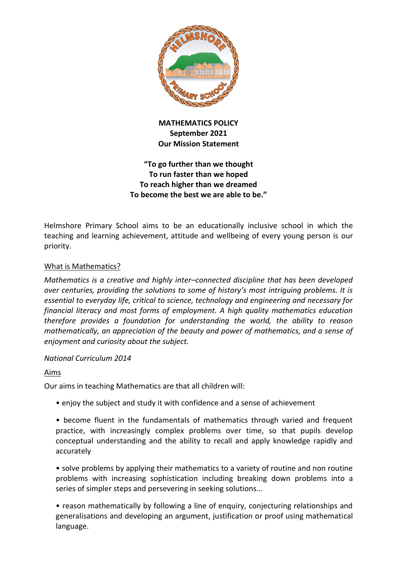

# **MATHEMATICS POLICY September 2021 Our Mission Statement**

# **"To go further than we thought To run faster than we hoped To reach higher than we dreamed To become the best we are able to be."**

Helmshore Primary School aims to be an educationally inclusive school in which the teaching and learning achievement, attitude and wellbeing of every young person is our priority.

# What is Mathematics?

*Mathematics is a creative and highly inter–connected discipline that has been developed over centuries, providing the solutions to some of history's most intriguing problems. It is essential to everyday life, critical to science, technology and engineering and necessary for financial literacy and most forms of employment. A high quality mathematics education therefore provides a foundation for understanding the world, the ability to reason mathematically, an appreciation of the beauty and power of mathematics, and a sense of enjoyment and curiosity about the subject.* 

# *National Curriculum 2014*

# Aims

Our aims in teaching Mathematics are that all children will:

• enjoy the subject and study it with confidence and a sense of achievement

• become fluent in the fundamentals of mathematics through varied and frequent practice, with increasingly complex problems over time, so that pupils develop conceptual understanding and the ability to recall and apply knowledge rapidly and accurately

• solve problems by applying their mathematics to a variety of routine and non routine problems with increasing sophistication including breaking down problems into a series of simpler steps and persevering in seeking solutions…

• reason mathematically by following a line of enquiry, conjecturing relationships and generalisations and developing an argument, justification or proof using mathematical language.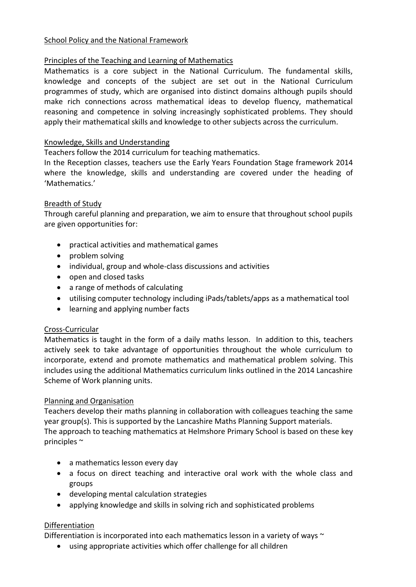## School Policy and the National Framework

# Principles of the Teaching and Learning of Mathematics

Mathematics is a core subject in the National Curriculum. The fundamental skills, knowledge and concepts of the subject are set out in the National Curriculum programmes of study, which are organised into distinct domains although pupils should make rich connections across mathematical ideas to develop fluency, mathematical reasoning and competence in solving increasingly sophisticated problems. They should apply their mathematical skills and knowledge to other subjects across the curriculum.

## Knowledge, Skills and Understanding

Teachers follow the 2014 curriculum for teaching mathematics.

In the Reception classes, teachers use the Early Years Foundation Stage framework 2014 where the knowledge, skills and understanding are covered under the heading of 'Mathematics.'

## Breadth of Study

Through careful planning and preparation, we aim to ensure that throughout school pupils are given opportunities for:

- practical activities and mathematical games
- problem solving
- individual, group and whole-class discussions and activities
- open and closed tasks
- a range of methods of calculating
- utilising computer technology including iPads/tablets/apps as a mathematical tool
- learning and applying number facts

# Cross-Curricular

Mathematics is taught in the form of a daily maths lesson. In addition to this, teachers actively seek to take advantage of opportunities throughout the whole curriculum to incorporate, extend and promote mathematics and mathematical problem solving. This includes using the additional Mathematics curriculum links outlined in the 2014 Lancashire Scheme of Work planning units.

### Planning and Organisation

Teachers develop their maths planning in collaboration with colleagues teaching the same year group(s). This is supported by the Lancashire Maths Planning Support materials. The approach to teaching mathematics at Helmshore Primary School is based on these key principles ~

- a mathematics lesson every day
- a focus on direct teaching and interactive oral work with the whole class and groups
- developing mental calculation strategies
- applying knowledge and skills in solving rich and sophisticated problems

### Differentiation

Differentiation is incorporated into each mathematics lesson in a variety of ways  $\sim$ 

using appropriate activities which offer challenge for all children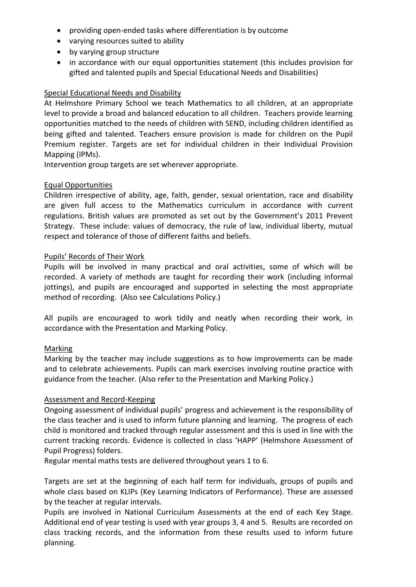- providing open-ended tasks where differentiation is by outcome
- varying resources suited to ability
- by varying group structure
- in accordance with our equal opportunities statement (this includes provision for gifted and talented pupils and Special Educational Needs and Disabilities)

## Special Educational Needs and Disability

At Helmshore Primary School we teach Mathematics to all children, at an appropriate level to provide a broad and balanced education to all children. Teachers provide learning opportunities matched to the needs of children with SEND, including children identified as being gifted and talented. Teachers ensure provision is made for children on the Pupil Premium register. Targets are set for individual children in their Individual Provision Mapping (IPMs).

Intervention group targets are set wherever appropriate.

## Equal Opportunities

Children irrespective of ability, age, faith, gender, sexual orientation, race and disability are given full access to the Mathematics curriculum in accordance with current regulations. British values are promoted as set out by the Government's 2011 Prevent Strategy. These include: values of democracy, the rule of law, individual liberty, mutual respect and tolerance of those of different faiths and beliefs.

## Pupils' Records of Their Work

Pupils will be involved in many practical and oral activities, some of which will be recorded. A variety of methods are taught for recording their work (including informal jottings), and pupils are encouraged and supported in selecting the most appropriate method of recording. (Also see Calculations Policy.)

All pupils are encouraged to work tidily and neatly when recording their work, in accordance with the Presentation and Marking Policy.

### Marking

Marking by the teacher may include suggestions as to how improvements can be made and to celebrate achievements. Pupils can mark exercises involving routine practice with guidance from the teacher. (Also refer to the Presentation and Marking Policy.)

### Assessment and Record-Keeping

Ongoing assessment of individual pupils' progress and achievement is the responsibility of the class teacher and is used to inform future planning and learning. The progress of each child is monitored and tracked through regular assessment and this is used in line with the current tracking records. Evidence is collected in class 'HAPP' (Helmshore Assessment of Pupil Progress) folders.

Regular mental maths tests are delivered throughout years 1 to 6.

Targets are set at the beginning of each half term for individuals, groups of pupils and whole class based on KLIPs (Key Learning Indicators of Performance). These are assessed by the teacher at regular intervals.

Pupils are involved in National Curriculum Assessments at the end of each Key Stage. Additional end of year testing is used with year groups 3, 4 and 5. Results are recorded on class tracking records, and the information from these results used to inform future planning.